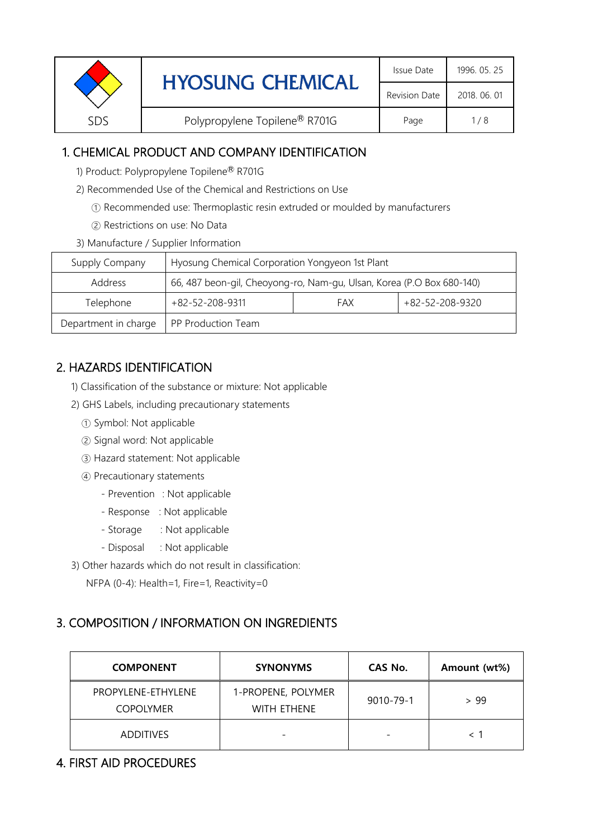| Revision Date<br>2018, 06, 01<br>Polypropylene Topilene® R701G<br>SDS<br>Page<br>1/8 | <b>HYOSUNG CHEMICAL</b> | Issue Date | 1996. 05. 25 |
|--------------------------------------------------------------------------------------|-------------------------|------------|--------------|
|                                                                                      |                         |            |              |
|                                                                                      |                         |            |              |

# 1. CHEMICAL PRODUCT AND COMPANY IDENTIFICATION

- 1) Product: Polypropylene Topilene® R701G
- 2) Recommended Use of the Chemical and Restrictions on Use
	- ① Recommended use: Thermoplastic resin extruded or moulded by manufacturers
	- ② Restrictions on use: No Data
- 3) Manufacture / Supplier Information

| Supply Company       | Hyosung Chemical Corporation Yongyeon 1st Plant                       |  |  |  |
|----------------------|-----------------------------------------------------------------------|--|--|--|
| Address              | 66, 487 beon-gil, Cheoyong-ro, Nam-gu, Ulsan, Korea (P.O Box 680-140) |  |  |  |
| Telephone            | +82-52-208-9320<br>$+82 - 52 - 208 - 9311$<br>FAX                     |  |  |  |
| Department in charge | PP Production Team                                                    |  |  |  |

# 2. HAZARDS IDENTIFICATION

- 1) Classification of the substance or mixture: Not applicable
- 2) GHS Labels, including precautionary statements
	- ① Symbol: Not applicable
	- ② Signal word: Not applicable
	- ③ Hazard statement: Not applicable
	- ④ Precautionary statements
		- Prevention : Not applicable
		- Response : Not applicable
		- Storage : Not applicable
		- Disposal : Not applicable
- 3) Other hazards which do not result in classification:

NFPA (0-4): Health=1, Fire=1, Reactivity=0

# 3. COMPOSITION / INFORMATION ON INGREDIENTS

| <b>COMPONENT</b>                       | <b>SYNONYMS</b>                   | CAS No.   | Amount (wt%) |
|----------------------------------------|-----------------------------------|-----------|--------------|
| PROPYLENE-ETHYLENE<br><b>COPOLYMER</b> | 1-PROPENE, POLYMER<br>WITH ETHENE | 9010-79-1 | > 99         |
| <b>ADDITIVES</b>                       | $\overline{\phantom{0}}$          |           |              |

# 4. FIRST AID PROCEDURES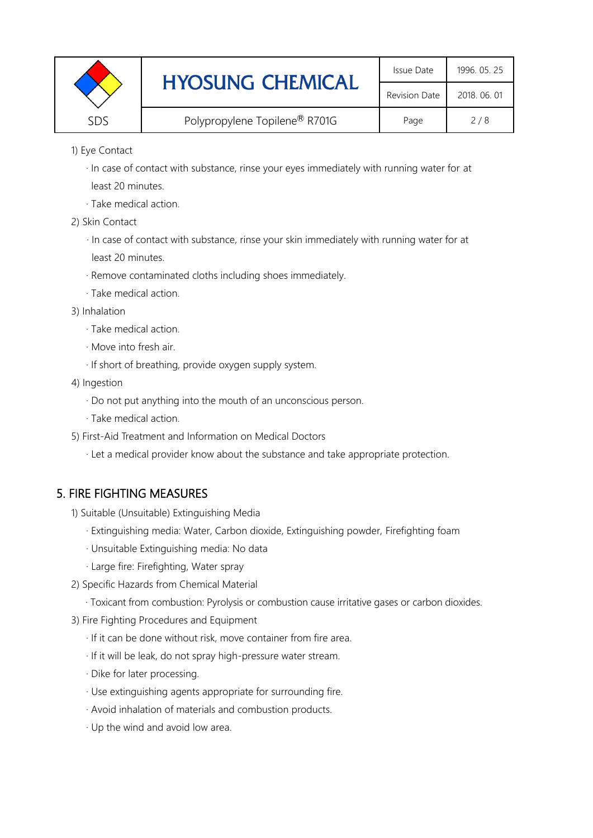|     | <b>HYOSUNG CHEMICAL</b>       | Issue Date    | 1996. 05. 25 |
|-----|-------------------------------|---------------|--------------|
|     |                               | Revision Date | 2018, 06, 01 |
| SDS | Polypropylene Topilene® R701G | Page          | 2/8          |

1) Eye Contact

 · In case of contact with substance, rinse your eyes immediately with running water for at least 20 minutes.

· Take medical action.

2) Skin Contact

· In case of contact with substance, rinse your skin immediately with running water for at least 20 minutes.

- · Remove contaminated cloths including shoes immediately.
- · Take medical action.
- 3) Inhalation
	- · Take medical action.
	- · Move into fresh air.
	- · If short of breathing, provide oxygen supply system.
- 4) Ingestion
	- · Do not put anything into the mouth of an unconscious person.
	- · Take medical action.
- 5) First-Aid Treatment and Information on Medical Doctors
	- · Let a medical provider know about the substance and take appropriate protection.

# 5. FIRE FIGHTING MEASURES

- 1) Suitable (Unsuitable) Extinguishing Media
	- · Extinguishing media: Water, Carbon dioxide, Extinguishing powder, Firefighting foam
	- · Unsuitable Extinguishing media: No data
	- · Large fire: Firefighting, Water spray
- 2) Specific Hazards from Chemical Material
	- · Toxicant from combustion: Pyrolysis or combustion cause irritative gases or carbon dioxides.
- 3) Fire Fighting Procedures and Equipment
	- · If it can be done without risk, move container from fire area.
	- · If it will be leak, do not spray high-pressure water stream.
	- · Dike for later processing.
	- · Use extinguishing agents appropriate for surrounding fire.
	- · Avoid inhalation of materials and combustion products.
	- · Up the wind and avoid low area.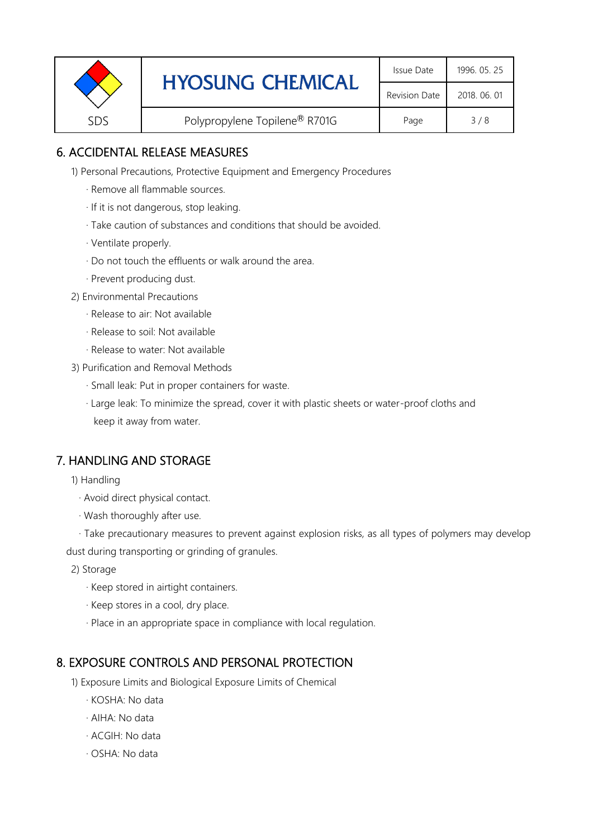|     | <b>HYOSUNG CHEMICAL</b>       | Issue Date    | 1996. 05. 25 |
|-----|-------------------------------|---------------|--------------|
|     |                               | Revision Date | 2018, 06, 01 |
| SDS | Polypropylene Topilene® R701G | Page          | 3/8          |

# 6. ACCIDENTAL RELEASE MEASURES

1) Personal Precautions, Protective Equipment and Emergency Procedures

- · Remove all flammable sources.
- · If it is not dangerous, stop leaking.
- · Take caution of substances and conditions that should be avoided.
- · Ventilate properly.
- · Do not touch the effluents or walk around the area.
- · Prevent producing dust.
- 2) Environmental Precautions
	- · Release to air: Not available
	- · Release to soil: Not available
	- · Release to water: Not available
- 3) Purification and Removal Methods
	- · Small leak: Put in proper containers for waste.
	- ,· Large leak: To minimize the spread, cover it with plastic sheets or water-proof cloths and keep it away from water.

## 7. HANDLING AND STORAGE

- 1) Handling
	- · Avoid direct physical contact.
	- · Wash thoroughly after use.
- · Take precautionary measures to prevent against explosion risks, as all types of polymers may develop dust during transporting or grinding of granules.
	- 2) Storage
		- · Keep stored in airtight containers.
		- · Keep stores in a cool, dry place.
		- · Place in an appropriate space in compliance with local regulation.

## 8. EXPOSURE CONTROLS AND PERSONAL PROTECTION

- 1) Exposure Limits and Biological Exposure Limits of Chemical
	- · KOSHA: No data
	- · AIHA: No data
	- · ACGIH: No data
	- · OSHA: No data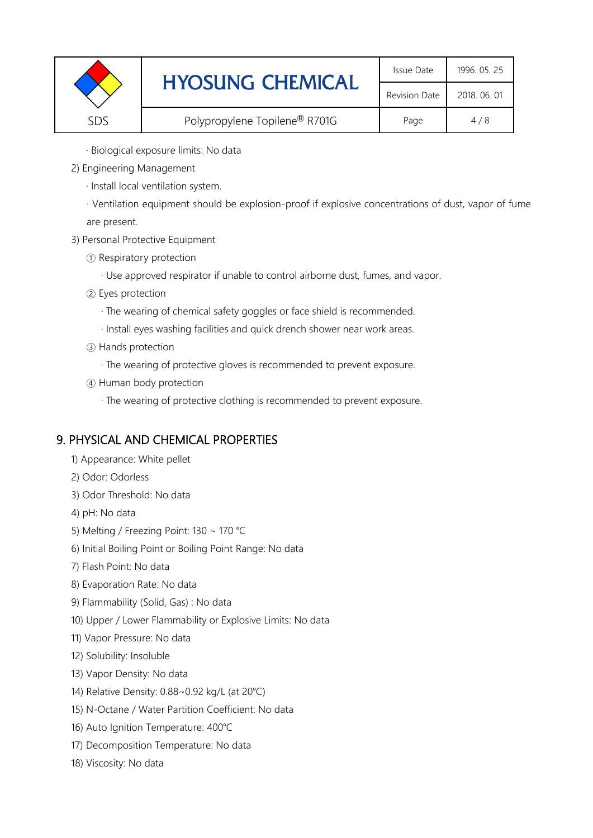|      | <b>HYOSUNG CHEMICAL</b>       | Issue Date           | 1996. 05. 25 |
|------|-------------------------------|----------------------|--------------|
|      |                               | <b>Revision Date</b> | 2018, 06, 01 |
| SDS. | Polypropylene Topilene® R701G | Page                 | 4/8          |

· Biological exposure limits: No data

- 2) Engineering Management
	- · Install local ventilation system.

· Ventilation equipment should be explosion-proof if explosive concentrations of dust, vapor of fume are present.

- 3) Personal Protective Equipment
	- ① Respiratory protection
		- · Use approved respirator if unable to control airborne dust, fumes, and vapor.
	- ② Eyes protection
		- · The wearing of chemical safety goggles or face shield is recommended.
		- · Install eyes washing facilities and quick drench shower near work areas.
	- ③ Hands protection
		- · The wearing of protective gloves is recommended to prevent exposure.
	- ④ Human body protection
		- · The wearing of protective clothing is recommended to prevent exposure.

## 9. PHYSICAL AND CHEMICAL PROPERTIES

- 1) Appearance: White pellet
- 2) Odor: Odorless
- 3) Odor Threshold: No data
- 4) pH: No data
- 5) Melting / Freezing Point: 130 ~ 170 ℃
- 6) Initial Boiling Point or Boiling Point Range: No data
- 7) Flash Point: No data
- 8) Evaporation Rate: No data
- 9) Flammability (Solid, Gas) : No data
- 10) Upper / Lower Flammability or Explosive Limits: No data
- 11) Vapor Pressure: No data
- 12) Solubility: Insoluble
- 13) Vapor Density: No data
- 14) Relative Density: 0.88~0.92 kg/L (at 20℃)
- 15) N-Octane / Water Partition Coefficient: No data
- 16) Auto Ignition Temperature: 400℃
- 17) Decomposition Temperature: No data
- 18) Viscosity: No data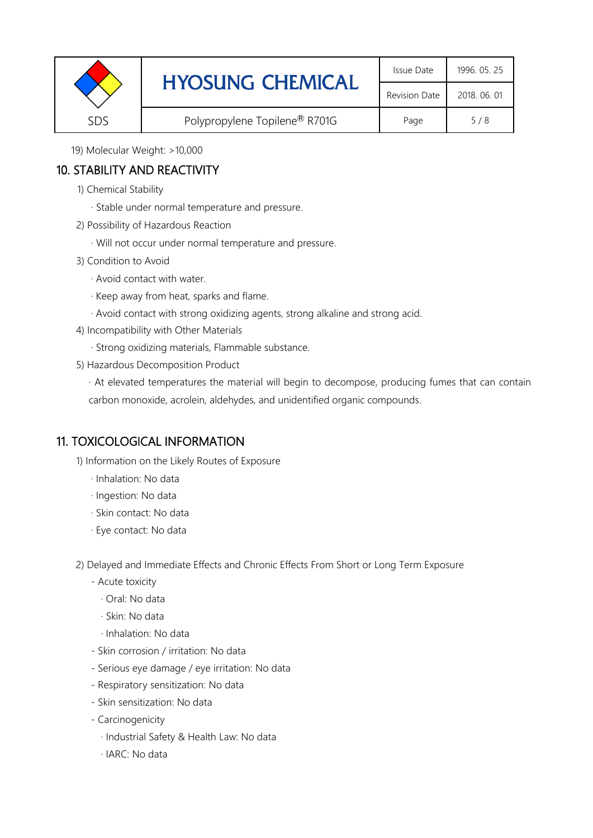|     | <b>HYOSUNG CHEMICAL</b>       | Issue Date           | 1996. 05. 25 |
|-----|-------------------------------|----------------------|--------------|
|     |                               | <b>Revision Date</b> | 2018, 06, 01 |
| SDS | Polypropylene Topilene® R701G | Page                 | 5/8          |

19) Molecular Weight: >10,000

# 10. STABILITY AND REACTIVITY

- 1) Chemical Stability
	- · Stable under normal temperature and pressure.
- 2) Possibility of Hazardous Reaction
	- · Will not occur under normal temperature and pressure.
- 3) Condition to Avoid
	- · Avoid contact with water.
	- · Keep away from heat, sparks and flame.
	- · Avoid contact with strong oxidizing agents, strong alkaline and strong acid.
- 4) Incompatibility with Other Materials
	- · Strong oxidizing materials, Flammable substance.
- 5) Hazardous Decomposition Product

· At elevated temperatures the material will begin to decompose, producing fumes that can contain carbon monoxide, acrolein, aldehydes, and unidentified organic compounds.

# 11. TOXICOLOGICAL INFORMATION

1) Information on the Likely Routes of Exposure

- · Inhalation: No data
- · Ingestion: No data
- · Skin contact: No data
- · Eye contact: No data

2) Delayed and Immediate Effects and Chronic Effects From Short or Long Term Exposure

- Acute toxicity
	- · Oral: No data
	- · Skin: No data
	- · Inhalation: No data
- Skin corrosion / irritation: No data
- Serious eye damage / eye irritation: No data
- Respiratory sensitization: No data
- Skin sensitization: No data
- Carcinogenicity
	- · Industrial Safety & Health Law: No data
	- · IARC: No data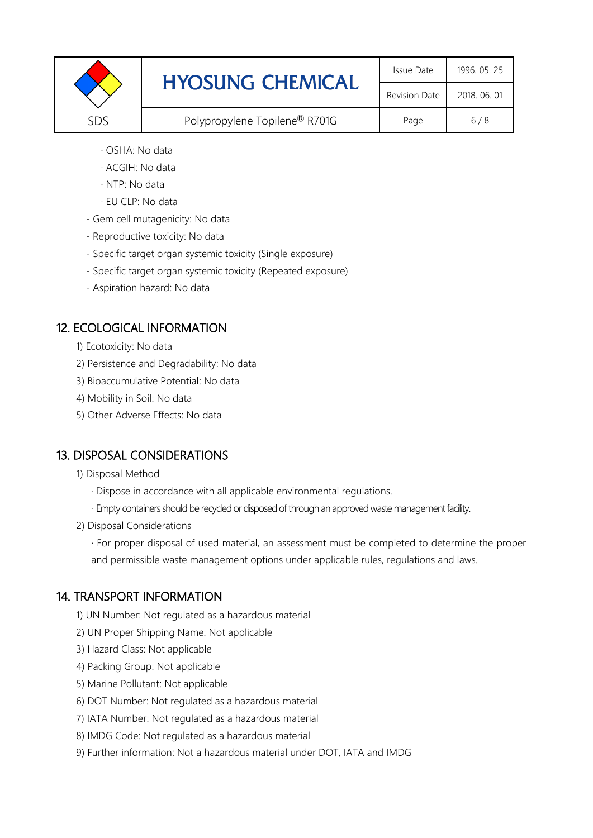|     | <b>HYOSUNG CHEMICAL</b>       |                      | 1996. 05. 25 |
|-----|-------------------------------|----------------------|--------------|
|     |                               | <b>Revision Date</b> | 2018, 06, 01 |
| SDS | Polypropylene Topilene® R701G | Page                 | 6/8          |

- · OSHA: No data
- · ACGIH: No data
- · NTP: No data
- · EU CLP: No data
- Gem cell mutagenicity: No data
- Reproductive toxicity: No data
- Specific target organ systemic toxicity (Single exposure)
- Specific target organ systemic toxicity (Repeated exposure)
- Aspiration hazard: No data

## 12. ECOLOGICAL INFORMATION

- 1) Ecotoxicity: No data
- 2) Persistence and Degradability: No data
- 3) Bioaccumulative Potential: No data
- 4) Mobility in Soil: No data
- 5) Other Adverse Effects: No data

## 13. DISPOSAL CONSIDERATIONS

#### 1) Disposal Method

- · Dispose in accordance with all applicable environmental regulations.
- · Empty containers should be recycled or disposed of through an approved waste management facility.
- 2) Disposal Considerations

· For proper disposal of used material, an assessment must be completed to determine the proper and permissible waste management options under applicable rules, regulations and laws.

## 14. TRANSPORT INFORMATION

- 1) UN Number: Not regulated as a hazardous material
- 2) UN Proper Shipping Name: Not applicable
- 3) Hazard Class: Not applicable
- 4) Packing Group: Not applicable
- 5) Marine Pollutant: Not applicable
- 6) DOT Number: Not regulated as a hazardous material
- 7) IATA Number: Not regulated as a hazardous material
- 8) IMDG Code: Not regulated as a hazardous material
- 9) Further information: Not a hazardous material under DOT, IATA and IMDG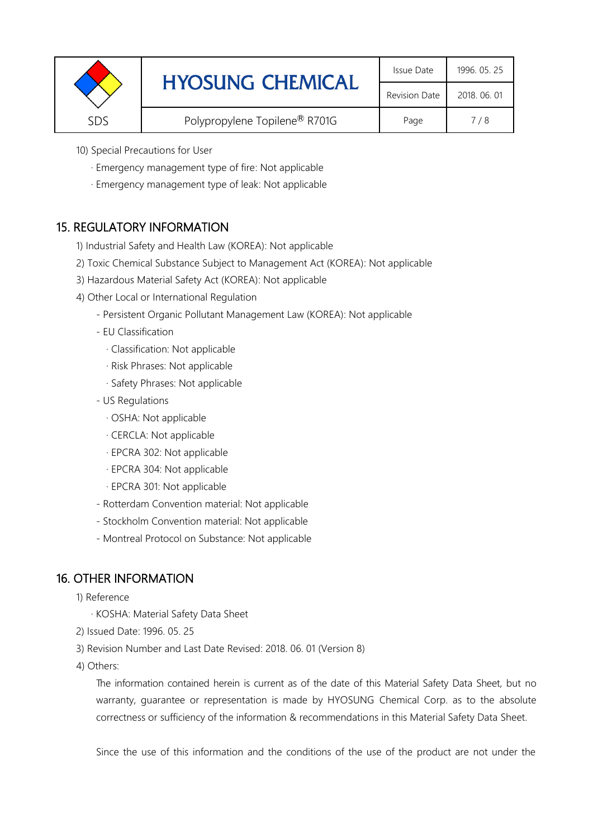| <b>Revision Date</b> |     | <b>HYOSUNG CHEMICAL</b>                   | Issue Date | 1996. 05. 25 |
|----------------------|-----|-------------------------------------------|------------|--------------|
|                      |     |                                           |            | 2018, 06, 01 |
|                      | SDS | Polypropylene Topilene <sup>®</sup> R701G | Page       | 7/8          |

- 10) Special Precautions for User
	- · Emergency management type of fire: Not applicable
	- · Emergency management type of leak: Not applicable

## 15. REGULATORY INFORMATION

- 1) Industrial Safety and Health Law (KOREA): Not applicable
- 2) Toxic Chemical Substance Subject to Management Act (KOREA): Not applicable
- 3) Hazardous Material Safety Act (KOREA): Not applicable
- 4) Other Local or International Regulation
	- Persistent Organic Pollutant Management Law (KOREA): Not applicable
	- EU Classification
		- · Classification: Not applicable
		- · Risk Phrases: Not applicable
		- · Safety Phrases: Not applicable
	- US Regulations
		- · OSHA: Not applicable
		- · CERCLA: Not applicable
		- · EPCRA 302: Not applicable
		- · EPCRA 304: Not applicable
		- · EPCRA 301: Not applicable
	- Rotterdam Convention material: Not applicable
	- Stockholm Convention material: Not applicable
	- Montreal Protocol on Substance: Not applicable

## 16. OTHER INFORMATION

- 1) Reference
	- · KOSHA: Material Safety Data Sheet
- 2) Issued Date: 1996. 05. 25
- 3) Revision Number and Last Date Revised: 2018. 06. 01 (Version 8)
- 4) Others:

The information contained herein is current as of the date of this Material Safety Data Sheet, but no warranty, guarantee or representation is made by HYOSUNG Chemical Corp. as to the absolute correctness or sufficiency of the information & recommendations in this Material Safety Data Sheet.

Since the use of this information and the conditions of the use of the product are not under the